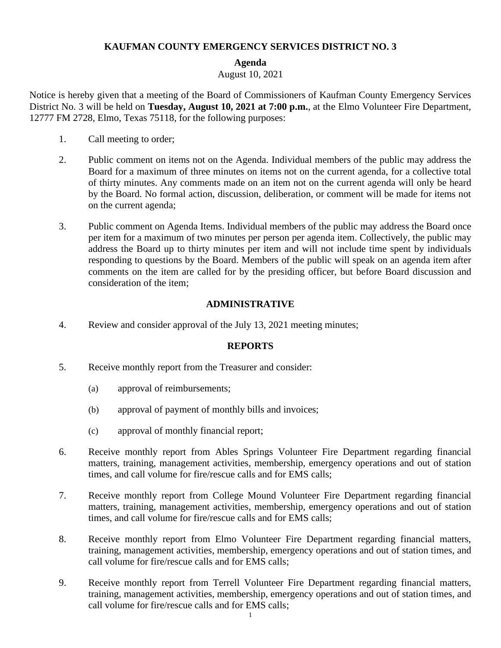# **KAUFMAN COUNTY EMERGENCY SERVICES DISTRICT NO. 3**

## **Agenda**

#### August 10, 2021

Notice is hereby given that a meeting of the Board of Commissioners of Kaufman County Emergency Services District No. 3 will be held on **Tuesday, August 10, 2021 at 7:00 p.m.**, at the Elmo Volunteer Fire Department, 12777 FM 2728, Elmo, Texas 75118, for the following purposes:

- 1. Call meeting to order;
- 2. Public comment on items not on the Agenda. Individual members of the public may address the Board for a maximum of three minutes on items not on the current agenda, for a collective total of thirty minutes. Any comments made on an item not on the current agenda will only be heard by the Board. No formal action, discussion, deliberation, or comment will be made for items not on the current agenda;
- 3. Public comment on Agenda Items. Individual members of the public may address the Board once per item for a maximum of two minutes per person per agenda item. Collectively, the public may address the Board up to thirty minutes per item and will not include time spent by individuals responding to questions by the Board. Members of the public will speak on an agenda item after comments on the item are called for by the presiding officer, but before Board discussion and consideration of the item;

# **ADMINISTRATIVE**

4. Review and consider approval of the July 13, 2021 meeting minutes;

## **REPORTS**

- 5. Receive monthly report from the Treasurer and consider:
	- (a) approval of reimbursements;
	- (b) approval of payment of monthly bills and invoices;
	- (c) approval of monthly financial report;
- 6. Receive monthly report from Ables Springs Volunteer Fire Department regarding financial matters, training, management activities, membership, emergency operations and out of station times, and call volume for fire/rescue calls and for EMS calls;
- 7. Receive monthly report from College Mound Volunteer Fire Department regarding financial matters, training, management activities, membership, emergency operations and out of station times, and call volume for fire/rescue calls and for EMS calls;
- 8. Receive monthly report from Elmo Volunteer Fire Department regarding financial matters, training, management activities, membership, emergency operations and out of station times, and call volume for fire/rescue calls and for EMS calls;
- 9. Receive monthly report from Terrell Volunteer Fire Department regarding financial matters, training, management activities, membership, emergency operations and out of station times, and call volume for fire/rescue calls and for EMS calls;